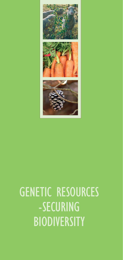

# GENETIC RESOURCES -SECURING **BIODIVERSITY**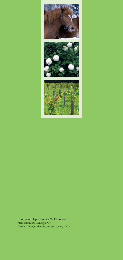

Cover photo Tapio Tuomela/MTT archives, Mainostoimisto Synergia Oy Graphic Design Mainostoimisto Synergia Oy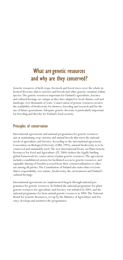# What are genetic resources and why are they conserved?

Genetic resources of field crops, livestock and forest trees cover the whole inherited diversity; that is varieties and breeds and other genetic variation within species. The genetic resources important for Finland's agriculture, forestry and cultural heritage are unique as they have adapted to local climate, soil and landscape over thousands of years. Conservation of genetic resources secures the availability of biodiversity for farmers, breeding and research and for the use of future generations. Adequate genetic diversity is particularly important for breeding and thereby for Finland's food security.

#### Principles of conservation

International agreements and national programmes for genetic resources aim at maintaining crop varieties and animal breeds that meet the national needs of agriculture and forestry. According to the international agreement, Convention on Biological Diversity (CBD, 1993), natural biodiversity is to be conserved and sustainably used. The new International Treaty on Plant Genetic Resources for Food and Agriculture (IT, 2004) defines the legally binding global framework for conservation of plant genetic resources. The agreement includes a multilateral system for facilitated access to genetic resources, and equitable sharing of benefits accrued from their commercialisation or other use among all parties. The Constitution of Finland also states that everyone shares responsibility over nature, biodiversity, the environment and Finland's cultural heritage.

International agreements are implemented largely through national programmes for genetic resources. In Finland the national programme for plant genetic resources for agriculture and forestry was initiated in 2003, and the national programme for farm animal genetic resources in 2004. The National Board for Genetic Resources, set up by the Ministry of Agriculture and Forestry, develops and monitors the programmes.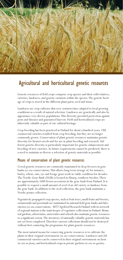

# Agricultural and horticultural genetic resources

Genetic resources of field crops comprise crop species and their wild relatives, varieties, landraces, and genetic variation within the species. The genetic heritage of crops is stored in the different plant parts; seed and tissue.

Landraces are crop cultivars that over centuries have adapted to local growing conditions as a result of natural selection. Landraces are genetically and also by appearance very diverse populations. This diversity provided protection against pests and diseases and guaranteed harvest. Field and horticultural crops are inherently valuable as part of our cultural heritage.

Crop breeding has been practiced in Finland for about a hundred years. Old commercial varieties resulted from crop breeding, but they are no longer commonly grown. Conservation of plant genetic resources maintains genetic diversity for farmers needs and for use in plant breeding and research. Sufficient genetic diversity is particularly important for genetic enhancement and breeding of new varieties. As future requirements cannot be predicted, there is a need to maintain as diverse a selection of genetic materials as possible.

#### Means of conservation of plant genetic resources

Cereal genetic resources are commonly maintained in deep freezers in gene banks (*ex situ* conservation). This allows long-term storage of, for instance, barley, wheat, oats, rye and forage grass seeds in viable condition for decades. The Nordic Gene Bank (NGB) is located in Alnarp, southern Sweden. There are approximately 1600 frozen accessions in the gene bank from Finland. It is possible to request a small amount of seed of an old variety or landrace from the gene bank. In addition to the seed collection, the gene bank maintains a Nordic potato collection.

Vegetatively propagated crop species, such as fruit trees, small fruits and berries, ornamentals and perennials are maintained in national field gene banks and laboratories (*ex situ* conservation). MTT Agrifood Research Finland with its network of regional stations is the main keeper of vegetative collections in Finland. Botanical gardens, arboretums, universities and schools also maintain genetic resources to a significant extent. The inventory of nationally valuable genetic materials has not yet been completed. Therefore current collections should not be destroyed without first contacting the programme for plant genetic resources.

The most natural means for conserving genetic resources is to cultivate the plants in their original environment (*in situ* conservation). Landraces and old commercial varieties can be conserved in their original environment on farm *(in situ on-farm)*, and horticultural crops in private gardens *(in situ on-garden)*.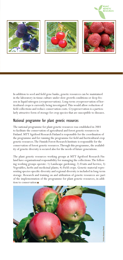

**PI ANT** . . . . . .<br>GENETIC

In addition to seed and field gene banks, genetic resources can be maintained in the laboratory in tissue culture under slow growth conditions or deep frozen in liquid nitrogen (cryopreservation). Long-term cryopreservation of horticultural crops is currently being investigated. This would allow reduction of field collections and reduce conservation costs. Cryopreservation is a particularly attractive form of storage for crop species that are susceptible to diseases.

#### National programme for plant genetic resources

The national programme for plant genetic resources was established in 2003 to facilitate the conservation of agricultural and forest genetic resources in Finland. MTT Agrifood Research Finland is responsible for the coordination of the programme and for running the programme for field and horticultural crop genetic resources. The Finnish Forest Research Institute is responsible for the conservation of forest genetic resources. Through this programme, the availability of genetic diversity is secured also for the needs of future generations.

The plant genetic resources working groups at MTT Agrifood Research Finland have organisational responsibility for managing the collections. The following working groups operate: 1) Landscape gardening; 2) Fruits and berries; 3) Vegetables, herbs and medicinal plants; 4) Field crops. Genetic material representing species-specific diversity and regional diversity is included in long-term storage. Research and training on and utilization of genetic resources are part of the implementation of the programme for plant genetic resources, in addi-

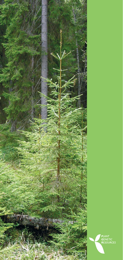

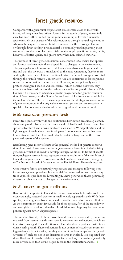## Forest genetic resources

Compared with agricultural crops, forest trees remain close to their wild forms. Although man has utilised forests for thousands of years, human influence has been rather limited on the genetic make-up of forests. Currently, approximately one quarter of the reforestation is through natural regeneration whereas three quarters are artificially regenerated either through planting or through direct seeding. Bred material is commonly used in planting. Most commonly used seed orchard material contains ample genetic variation, but is, however, of better quality and grows better than non-selected material.

The purpose of forest genetic resources conservation is to ensure that species and forest stands maintain their adaptability to changes in the environment. The principal aim is to make sure that forest stands have ample genetic diversity and that this diversity is transferred to the next generation, thereby representing the basis for evolution. Traditional nature parks and ecotypes protected through the Finnish Nature Conservation Act also contribute to forest genetic resources conservation to some extent. However, as they primarily serve to protect endangered species and ecosystems, which demand old trees, they cannot simultaneously ensure the maintenance of forest genetic diversity. This has made it necessary to establish a specific programme for genetic conservation of forest trees, and the Finnish Forest Research Institute is responsible for its implementation. The two main components of the strategy are conservation of genetic resources in the original environment *(in situ)* and conservation in special collections established outside the original environment *(ex situ).*

#### *In situ* conservation, gene-reserve forests

Forest tree species with wide and continuous distribution area usually contain abundant genetic diversity within each stand. Finland's main forest trees: pine, spruce, silver birch and downy birch are such species. Wind pollination and the light weight of seeds allow transfer of genes from one stand to another over long distances, and therefore single stands contain a large part of the entire genetic diversity of the species.

Establishing gene-reserve forests is the principal method of genetic conservation of our main forest tree species. A gene-reserve forest is a kind of a living gene bank, which is allowed to develop through evolution. In terms of adaptation, each gene-reserve forest represents natural evolution of the site. Most of Finland's 39 gene-reserve forests are located on state-owned land, belonging to The National Board of Forestry or to the Finnish Forest Research Institute.

Gene-reserve forests are naturally regenerated and managed following best forest management practices. It is essential for conservation that that as many trees as possible produce seed, resulting in a new generation that is genetically diverse and able to adapt to changes in the environment.

#### *Ex situ* conservation, genetic collections

Rare forest tree species in Finland, including many valuable broad-leaved trees, occur as single, scattered trees or in small, widely separated stands. With these species, gene migration from one stand to another as seed or pollen is limited. As the environment is not favourable for these species, few of the trees flower and seed yields are seldom abundant. In addition, seedlings may be poor competitors against better adapted species.

The genetic diversity of these broad-leaved trees is conserved by collecting material from several stands into specific conservation collections, which are intensively managed. The collections are fenced and trees protected with tubes during early growth. These collections do not contain selected types representing particular characteristics, but they represent random samples of the genetic diversity of each species in its distribution area in Finland. It is expected that the collections of these broad-leaved species in the long run produce genetically more diverse seed than would be produced in the small natural stands.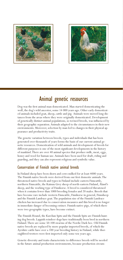



Dog was the first animal man domesticated. Man started domesticating the wolf, the dog's wild ancestor, some 14 000 years ago. Other early domesticated animals included goat, sheep, cattle and pig. Animals were moved long distances from the areas where they were originally domesticated. Development of genetically distinct animal populations, so termed breeds, was influenced by their geographic separation. Animals adapted to the circumstances in their new environments. Moreover, selection by man led to changes in their physical appearance and productivity traits.

The genetic variation between breeds, types and individuals that has been generated over thousands of years forms the basis of our current animal genetic resources. Domestication of wild animals and development of breeds for different purposes is one of the most significant developments in the history of mankind. There are over 40 animal species that produce milk, meat, eggs, honey and wool for human use. Animals have been used for draft, riding and guarding, and they can also represent religious and symbolic value.

#### Conservation of Finnish native animal breeds

In Finland sheep have been shorn and cows milked for at least 4000 years. The Finnish native breeds were derived from our first domestic animals. The threatened native breeds and types in Finland include eastern Finncattle, northern Finncattle, the Kainuu Grey sheep of north-eastern Finland, Åland's sheep, and the working type of Finnhorse. A breed is considered threatened when it contains fewer than 1000 breeding females and 20 males. Breeds that have become rare include western Finncattle, Finnhorse in general, Finnsheep and the Finnish Landrace goat. The population size of the Finnish Landrace chicken has increased due to conservation measures and this breed is no longer in immediate danger of becoming extinct. Finnish native pigs, of which there were two geographic types, have become extinct.

The Finnish Hound, the Karelian Spitz and the Finnish Spitz are Finnish hunting dog breeds. Lappish reindeer dogs have traditionally been bred in northern Finland. There are some 50-100 swarms of the Nordic Dark bee. Old Finnish native breeds are replaced by more popular imported breeds, of which the Ayrshire cattle have over a 100 year breeding history in Finland, while thoroughbred trotters were first imported only some ten years ago.

Genetic diversity and traits characteristic to difference breeds will be needed in the future animal production environments, because production circum-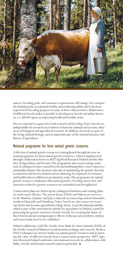

stances, breeding goals, and consumer requirements will change. For example, the Finnsheep has exceptional fertility and mothering ability and it has been exported for breeding purposes because of these characteristics. Maintenance of different breeds makes it possible to develop new breeds and utilize heterosis, i.e. hybrid vigour, in improving health and fertility traits.

Diverse material is required for both research and breeding. Native breeds are indispensable for research on evolution of domestic animals and in many other areas of biological and agricultural research. In addition, livestock are part of the living cultural heritage; and an important part of the national memory and history of agriculture.

#### National programme for farm animal genetic resources

Collection of animal genetic resources is strengthened through the new national programme for farm animal genetic resources, which is implemented through collaboration between MTT Agrifood Research Finland and the Ministry of Agriculture and Forestry. The programme aims at preventing extinction of endangered native animal breeds and facilitating their conservation in a sustainable manner. The measures also aim at maintaining the genetic diversity in animal breeds bred in Finland and at enhancing development of resistance and health traits in addition to productivity traits. The programme for animal genetic resources emphasises that animal genetics, breeding, know-how and awareness related to genetic resources are maintained and strengthened.

Conservation plans are drawn up for endangered landraces and existing plans are made more effective. The prison farms of Pelso and Sukeva are overseen by the Ministry of Justice and play a vital role in conserving eastern Finncattle, northern Finncattle and Finnsheep. Native breeds are also conserved on private farms and in some agricultural college farms. A specific financial subsidy, which is part of the environment subsidy for agriculture in Finland, is paid for protecting the genetic resources of native breeds. For securing the future of these breeds and preventing negative effects of diseases and accidents, embryo and semen banks need to be established.

Finland collaborates with The Nordic Gene Bank for Farm Animals (NGH) of the Nordic Council of Ministers in information exchange and research. Modern DNA-techniques are used in studies on animal genetic resources and in assessing the value of different breeds from a conservation perspective. MTT Agrifood Research Finland undertakes international research in collaboration with Baltic, Nordic and Russian research teams in particular.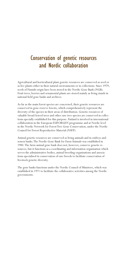# Conservation of genetic resources and Nordic collaboration

Agricultural and horticultural plant genetic resources are conserved as seed or as live plants either in their natural environments or in collections. Since 1979, seeds of Finnish origin have been stored in the Nordic Gene Bank (NGB). Fruit trees, berries and ornamental plants are stored mainly as living stands in national field gene banks and archives.

As far as the main forest species are concerned, their genetic resources are conserved in gene-reserve forests, which comprehensively represent the diversity of the species in their areas of distribution. Genetic resources of valuable broad-leaved trees and other rare tree species are conserved in collections specially established for this purpose. Finland is involved in international collaboration in the European EUFORGEN programme and at Nordic level in the Nordic Network for Forest Tree Gene Conservation, under the Nordic Council for Forest Reproductive Material (NSFP)

Animal genetic resources are conserved as living animals and in embryo and semen banks. The Nordic Gene Bank for Farm Animals was established in 1984. The farm animal gene bank does not, however, conserve genetic resources, but it functions as a coordinating and information organisation which serves the administrative bodies, animal breeding organisations and associations specialised in conservation of rare breeds to facilitate conservation of livestock genetic diversity.

The gene banks functions under the Nordic Council of Ministers, which was established in 1971 to facilitate the collaborative activities among the Nordic governments.